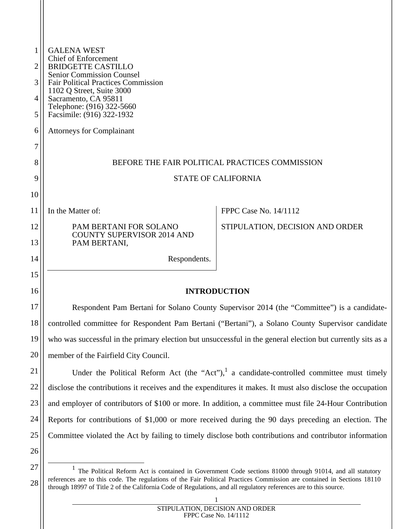| 1  | <b>GALENA WEST</b><br>Chief of Enforcement<br><b>BRIDGETTE CASTILLO</b>                                     |                                 |  |
|----|-------------------------------------------------------------------------------------------------------------|---------------------------------|--|
| 2  |                                                                                                             |                                 |  |
| 3  | <b>Senior Commission Counsel</b><br><b>Fair Political Practices Commission</b>                              |                                 |  |
| 4  | 1102 Q Street, Suite 3000<br>Sacramento, CA 95811                                                           |                                 |  |
| 5  | Telephone: (916) 322-5660<br>Facsimile: (916) 322-1932                                                      |                                 |  |
| 6  | <b>Attorneys for Complainant</b>                                                                            |                                 |  |
| 7  |                                                                                                             |                                 |  |
| 8  | BEFORE THE FAIR POLITICAL PRACTICES COMMISSION                                                              |                                 |  |
| 9  | <b>STATE OF CALIFORNIA</b>                                                                                  |                                 |  |
| 10 |                                                                                                             |                                 |  |
| 11 | In the Matter of:                                                                                           | <b>FPPC Case No. 14/1112</b>    |  |
| 12 | PAM BERTANI FOR SOLANO                                                                                      | STIPULATION, DECISION AND ORDER |  |
| 13 | <b>COUNTY SUPERVISOR 2014 AND</b><br>PAM BERTANI,                                                           |                                 |  |
| 14 | Respondents.                                                                                                |                                 |  |
| 15 |                                                                                                             |                                 |  |
| 16 | <b>INTRODUCTION</b>                                                                                         |                                 |  |
| 17 | Respondent Pam Bertani for Solano County Supervisor 2014 (the "Committee") is a candidate-                  |                                 |  |
| 18 | controlled committee for Respondent Pam Bertani ("Bertani"), a Solano County Supervisor candidate           |                                 |  |
| 19 | who was successful in the primary election but unsuccessful in the general election but currently sits as a |                                 |  |
| 20 | member of the Fairfield City Council.                                                                       |                                 |  |
| 21 | Under the Political Reform Act (the "Act"), a candidate-controlled committee must timely                    |                                 |  |
| 22 | disclose the contributions it receives and the expenditures it makes. It must also disclose the occupation  |                                 |  |
| 23 | and employer of contributors of \$100 or more. In addition, a committee must file 24-Hour Contribution      |                                 |  |
| 24 | Reports for contributions of \$1,000 or more received during the 90 days preceding an election. The         |                                 |  |

25 26

1

Committee violated the Act by failing to timely disclose both contributions and contributor information

<sup>27</sup> 28 <sup>1</sup> The Political Reform Act is contained in Government Code sections 81000 through 91014, and all statutory references are to this code. The regulations of the Fair Political Practices Commission are contained in Sections 18110 through 18997 of Title 2 of the California Code of Regulations, and all regulatory references are to this source.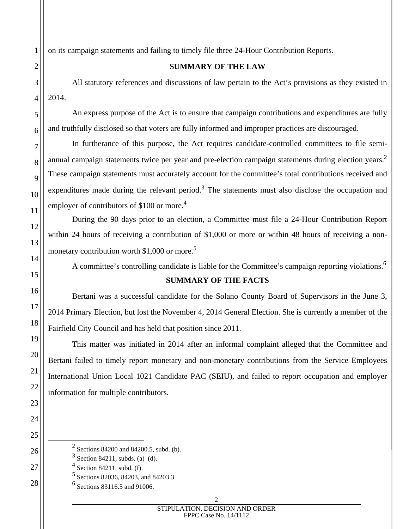on its campaign statements and failing to timely file three 24-Hour Contribution Reports.

## **SUMMARY OF THE LAW**

 All statutory references and discussions of law pertain to the Act's provisions as they existed in 2014.

An express purpose of the Act is to ensure that campaign contributions and expenditures are fully and truthfully disclosed so that voters are fully informed and improper practices are discouraged.

In furtherance of this purpose, the Act requires candidate-controlled committees to file semiannual campaign statements twice per year and pre-election campaign statements during election years.<sup>2</sup> These campaign statements must accurately account for the committee's total contributions received and expenditures made during the relevant period.<sup>3</sup> The statements must also disclose the occupation and employer of contributors of  $$100$  or more.<sup>4</sup>

During the 90 days prior to an election, a Committee must file a 24-Hour Contribution Report within 24 hours of receiving a contribution of \$1,000 or more or within 48 hours of receiving a nonmonetary contribution worth \$1,000 or more.<sup>5</sup>

A committee's controlling candidate is liable for the Committee's campaign reporting violations.<sup>6</sup>

# **SUMMARY OF THE FACTS**

Bertani was a successful candidate for the Solano County Board of Supervisors in the June 3, 2014 Primary Election, but lost the November 4, 2014 General Election. She is currently a member of the Fairfield City Council and has held that position since 2011.

This matter was initiated in 2014 after an informal complaint alleged that the Committee and Bertani failed to timely report monetary and non-monetary contributions from the Service Employees International Union Local 1021 Candidate PAC (SEIU), and failed to report occupation and employer information for multiple contributors.

- $\frac{1}{2}$  $2$  Sections 84200 and 84200.5, subd. (b).
	- $3$  Section 84211, subds. (a)–(d).
	- 4 Section 84211, subd. (f).
	- 5 Sections 82036, 84203, and 84203.3.
	- 6 Sections 83116.5 and 91006.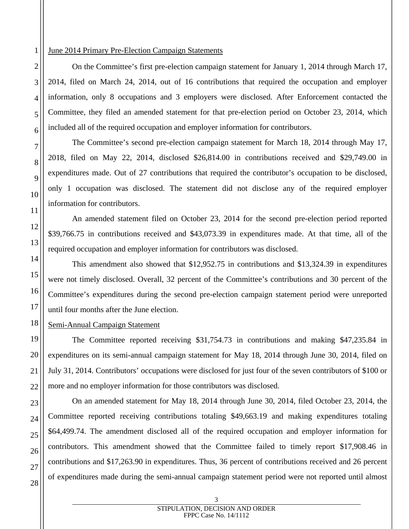### June 2014 Primary Pre-Election Campaign Statements

On the Committee's first pre-election campaign statement for January 1, 2014 through March 17, 2014, filed on March 24, 2014, out of 16 contributions that required the occupation and employer information, only 8 occupations and 3 employers were disclosed. After Enforcement contacted the Committee, they filed an amended statement for that pre-election period on October 23, 2014, which included all of the required occupation and employer information for contributors.

 The Committee's second pre-election campaign statement for March 18, 2014 through May 17, 2018, filed on May 22, 2014, disclosed \$26,814.00 in contributions received and \$29,749.00 in expenditures made. Out of 27 contributions that required the contributor's occupation to be disclosed, only 1 occupation was disclosed. The statement did not disclose any of the required employer information for contributors.

 An amended statement filed on October 23, 2014 for the second pre-election period reported \$39,766.75 in contributions received and \$43,073.39 in expenditures made. At that time, all of the required occupation and employer information for contributors was disclosed.

This amendment also showed that \$12,952.75 in contributions and \$13,324.39 in expenditures were not timely disclosed. Overall, 32 percent of the Committee's contributions and 30 percent of the Committee's expenditures during the second pre-election campaign statement period were unreported until four months after the June election.

### Semi-Annual Campaign Statement

 The Committee reported receiving \$31,754.73 in contributions and making \$47,235.84 in expenditures on its semi-annual campaign statement for May 18, 2014 through June 30, 2014, filed on July 31, 2014. Contributors' occupations were disclosed for just four of the seven contributors of \$100 or more and no employer information for those contributors was disclosed.

 On an amended statement for May 18, 2014 through June 30, 2014, filed October 23, 2014, the Committee reported receiving contributions totaling \$49,663.19 and making expenditures totaling \$64,499.74. The amendment disclosed all of the required occupation and employer information for contributors. This amendment showed that the Committee failed to timely report \$17,908.46 in contributions and \$17,263.90 in expenditures. Thus, 36 percent of contributions received and 26 percent of expenditures made during the semi-annual campaign statement period were not reported until almost

#### 3 STIPULATION, DECISION AND ORDER FPPC Case No. 14/1112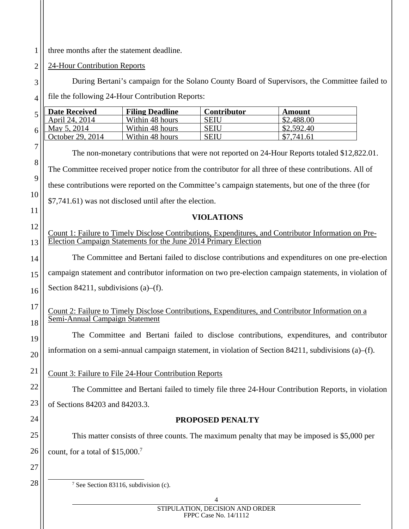1 three months after the statement deadline.

2 24-Hour Contribution Reports

3 4 5 6 7 8 9 10 11 12 13 14 15 16 17 18 19 20 21 22 23 24 25 26 27 28 During Bertani's campaign for the Solano County Board of Supervisors, the Committee failed to file the following 24-Hour Contribution Reports: **Date Received** Filing Deadline Contributor Amount April 24, 2014 Within 48 hours SEIU \$2,488.00<br>May 5, 2014 Within 48 hours SEIU \$2,592.40 Within 48 hours  $\vert$  SEIU October 29, 2014 Within 48 hours SEIU  $\vert$  \$7,741.61 The non-monetary contributions that were not reported on 24-Hour Reports totaled \$12,822.01. The Committee received proper notice from the contributor for all three of these contributions. All of these contributions were reported on the Committee's campaign statements, but one of the three (for \$7,741.61) was not disclosed until after the election. **VIOLATIONS**  Count 1: Failure to Timely Disclose Contributions, Expenditures, and Contributor Information on Pre-Election Campaign Statements for the June 2014 Primary Election The Committee and Bertani failed to disclose contributions and expenditures on one pre-election campaign statement and contributor information on two pre-election campaign statements, in violation of Section 84211, subdivisions (a)–(f). Count 2: Failure to Timely Disclose Contributions, Expenditures, and Contributor Information on a Semi-Annual Campaign Statement The Committee and Bertani failed to disclose contributions, expenditures, and contributor information on a semi-annual campaign statement, in violation of Section 84211, subdivisions (a)–(f). Count 3: Failure to File 24-Hour Contribution Reports The Committee and Bertani failed to timely file three 24-Hour Contribution Reports, in violation of Sections 84203 and 84203.3. **PROPOSED PENALTY**  This matter consists of three counts. The maximum penalty that may be imposed is \$5,000 per count, for a total of  $$15,000$ .<sup>7</sup>  $\overline{7}$ <sup>7</sup> See Section 83116, subdivision (c).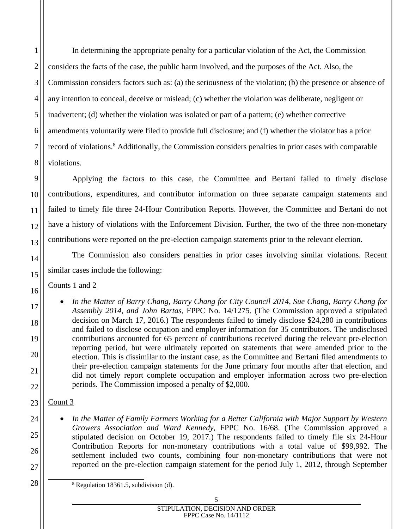In determining the appropriate penalty for a particular violation of the Act, the Commission considers the facts of the case, the public harm involved, and the purposes of the Act. Also, the Commission considers factors such as: (a) the seriousness of the violation; (b) the presence or absence of any intention to conceal, deceive or mislead; (c) whether the violation was deliberate, negligent or inadvertent; (d) whether the violation was isolated or part of a pattern; (e) whether corrective amendments voluntarily were filed to provide full disclosure; and (f) whether the violator has a prior record of violations.<sup>8</sup> Additionally, the Commission considers penalties in prior cases with comparable violations.

 Applying the factors to this case, the Committee and Bertani failed to timely disclose contributions, expenditures, and contributor information on three separate campaign statements and failed to timely file three 24-Hour Contribution Reports. However, the Committee and Bertani do not have a history of violations with the Enforcement Division. Further, the two of the three non-monetary contributions were reported on the pre-election campaign statements prior to the relevant election.

The Commission also considers penalties in prior cases involving similar violations. Recent similar cases include the following:

Counts 1 and 2

1

2

3

4

5

6

7

8

9

10

11

12

13

14

15

16

17

18

19

20

21

22

23

24

25

26

27

28

- *In the Matter of Barry Chang, Barry Chang for City Council 2014, Sue Chang, Barry Chang for Assembly 2014, and John Bartas*, FPPC No. 14/1275. (The Commission approved a stipulated decision on March 17, 2016.) The respondents failed to timely disclose \$24,280 in contributions and failed to disclose occupation and employer information for 35 contributors. The undisclosed contributions accounted for 65 percent of contributions received during the relevant pre-election reporting period, but were ultimately reported on statements that were amended prior to the election. This is dissimilar to the instant case, as the Committee and Bertani filed amendments to their pre-election campaign statements for the June primary four months after that election, and did not timely report complete occupation and employer information across two pre-election periods. The Commission imposed a penalty of \$2,000.
- Count 3
	- *In the Matter of Family Farmers Working for a Better California with Major Support by Western Growers Association and Ward Kennedy*, FPPC No. 16/68. (The Commission approved a stipulated decision on October 19, 2017.) The respondents failed to timely file six 24-Hour Contribution Reports for non-monetary contributions with a total value of \$99,992. The settlement included two counts, combining four non-monetary contributions that were not reported on the pre-election campaign statement for the period July 1, 2012, through September
	- 8  $8$  Regulation 18361.5, subdivision (d).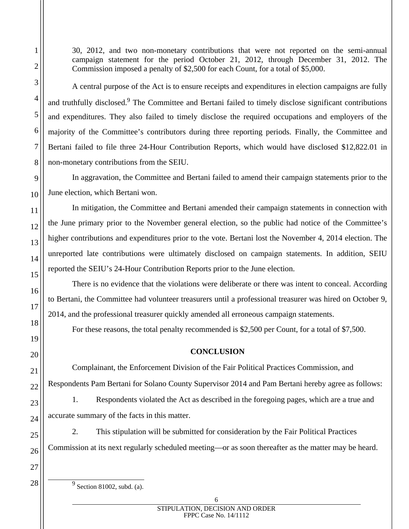30, 2012, and two non-monetary contributions that were not reported on the semi-annual campaign statement for the period October 21, 2012, through December 31, 2012. The Commission imposed a penalty of \$2,500 for each Count, for a total of \$5,000.

A central purpose of the Act is to ensure receipts and expenditures in election campaigns are fully and truthfully disclosed.<sup>9</sup> The Committee and Bertani failed to timely disclose significant contributions and expenditures. They also failed to timely disclose the required occupations and employers of the majority of the Committee's contributors during three reporting periods. Finally, the Committee and Bertani failed to file three 24-Hour Contribution Reports, which would have disclosed \$12,822.01 in non-monetary contributions from the SEIU.

In aggravation, the Committee and Bertani failed to amend their campaign statements prior to the June election, which Bertani won.

In mitigation, the Committee and Bertani amended their campaign statements in connection with the June primary prior to the November general election, so the public had notice of the Committee's higher contributions and expenditures prior to the vote. Bertani lost the November 4, 2014 election. The unreported late contributions were ultimately disclosed on campaign statements. In addition, SEIU reported the SEIU's 24-Hour Contribution Reports prior to the June election.

There is no evidence that the violations were deliberate or there was intent to conceal. According to Bertani, the Committee had volunteer treasurers until a professional treasurer was hired on October 9, 2014, and the professional treasurer quickly amended all erroneous campaign statements.

For these reasons, the total penalty recommended is \$2,500 per Count, for a total of \$7,500.

# **CONCLUSION**

Complainant, the Enforcement Division of the Fair Political Practices Commission, and Respondents Pam Bertani for Solano County Supervisor 2014 and Pam Bertani hereby agree as follows:

1. Respondents violated the Act as described in the foregoing pages, which are a true and accurate summary of the facts in this matter.

2. This stipulation will be submitted for consideration by the Fair Political Practices Commission at its next regularly scheduled meeting—or as soon thereafter as the matter may be heard.

 $\frac{9}{9}$  Section 81002, subd. (a).

1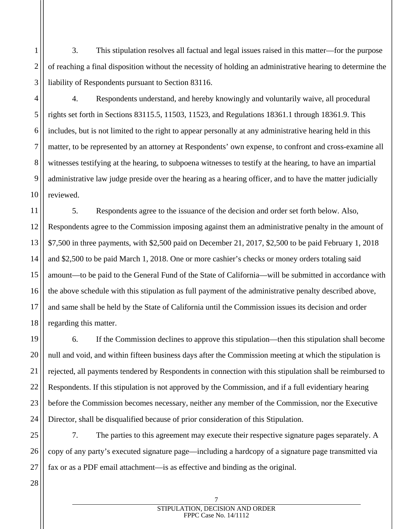3. This stipulation resolves all factual and legal issues raised in this matter—for the purpose of reaching a final disposition without the necessity of holding an administrative hearing to determine the liability of Respondents pursuant to Section 83116.

4. Respondents understand, and hereby knowingly and voluntarily waive, all procedural rights set forth in Sections 83115.5, 11503, 11523, and Regulations 18361.1 through 18361.9. This includes, but is not limited to the right to appear personally at any administrative hearing held in this matter, to be represented by an attorney at Respondents' own expense, to confront and cross-examine all witnesses testifying at the hearing, to subpoena witnesses to testify at the hearing, to have an impartial administrative law judge preside over the hearing as a hearing officer, and to have the matter judicially reviewed.

5. Respondents agree to the issuance of the decision and order set forth below. Also, Respondents agree to the Commission imposing against them an administrative penalty in the amount of \$7,500 in three payments, with \$2,500 paid on December 21, 2017, \$2,500 to be paid February 1, 2018 and \$2,500 to be paid March 1, 2018. One or more cashier's checks or money orders totaling said amount—to be paid to the General Fund of the State of California—will be submitted in accordance with the above schedule with this stipulation as full payment of the administrative penalty described above, and same shall be held by the State of California until the Commission issues its decision and order regarding this matter.

6. If the Commission declines to approve this stipulation—then this stipulation shall become null and void, and within fifteen business days after the Commission meeting at which the stipulation is rejected, all payments tendered by Respondents in connection with this stipulation shall be reimbursed to Respondents. If this stipulation is not approved by the Commission, and if a full evidentiary hearing before the Commission becomes necessary, neither any member of the Commission, nor the Executive Director, shall be disqualified because of prior consideration of this Stipulation.

25 26 27 7. The parties to this agreement may execute their respective signature pages separately. A copy of any party's executed signature page—including a hardcopy of a signature page transmitted via fax or as a PDF email attachment—is as effective and binding as the original.

28

1

2

3

4

5

6

7

8

9

10

11

12

13

14

15

16

17

18

19

20

21

22

23

24